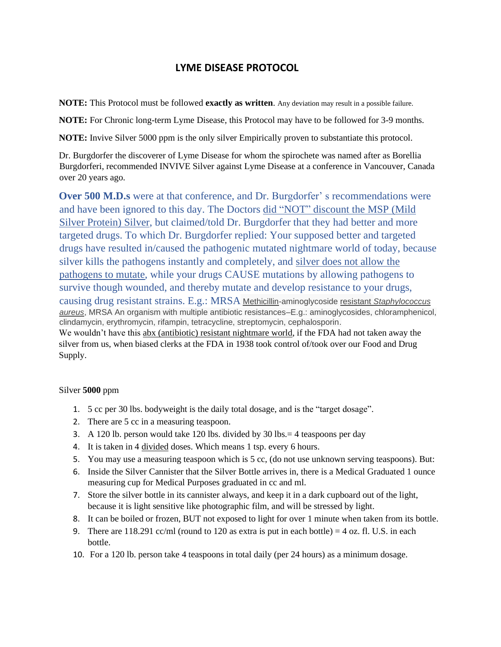### **LYME DISEASE PROTOCOL**

**NOTE:** This Protocol must be followed **exactly as written**. Any deviation may result in a possible failure.

**NOTE:** For Chronic long-term Lyme Disease, this Protocol may have to be followed for 3-9 months.

**NOTE:** Invive Silver 5000 ppm is the only silver Empirically proven to substantiate this protocol.

Dr. Burgdorfer the discoverer of Lyme Disease for whom the spirochete was named after as Borellia Burgdorferi, recommended INVIVE Silver against Lyme Disease at a conference in Vancouver, Canada over 20 years ago.

**Over 500 M.D.s** were at that conference, and Dr. Burgdorfer' s recommendations were and have been ignored to this day. The Doctors did "NOT" discount the MSP (Mild Silver Protein) Silver, but claimed/told Dr. Burgdorfer that they had better and more targeted drugs. To which Dr. Burgdorfer replied: Your supposed better and targeted drugs have resulted in/caused the pathogenic mutated nightmare world of today, because silver kills the pathogens instantly and completely, and silver does not allow the pathogens to mutate, while your drugs CAUSE mutations by allowing pathogens to survive though wounded, and thereby mutate and develop resistance to your drugs, causing drug resistant strains. E.g.: MRSA Methicillin-aminoglycoside resistant *Staphylococcus aureus*, MRSA An organism with multiple antibiotic resistances–E.g.: aminoglycosides, chloramphenicol, clindamycin, erythromycin, rifampin, tetracycline, streptomycin, cephalosporin. We wouldn't have this abx (antibiotic) resistant nightmare world, if the FDA had not taken away the silver from us, when biased clerks at the FDA in 1938 took control of/took over our Food and Drug Supply.

#### Silver **5000** ppm

- 1. 5 cc per 30 lbs. bodyweight is the daily total dosage, and is the "target dosage".
- 2. There are 5 cc in a measuring teaspoon.
- 3. A 120 lb. person would take 120 lbs. divided by 30 lbs.= 4 teaspoons per day
- 4. It is taken in 4 divided doses. Which means 1 tsp. every 6 hours.
- 5. You may use a measuring teaspoon which is 5 cc, (do not use unknown serving teaspoons). But:
- 6. Inside the Silver Cannister that the Silver Bottle arrives in, there is a Medical Graduated 1 ounce measuring cup for Medical Purposes graduated in cc and ml.
- 7. Store the silver bottle in its cannister always, and keep it in a dark cupboard out of the light, because it is light sensitive like photographic film, and will be stressed by light.
- 8. It can be boiled or frozen, BUT not exposed to light for over 1 minute when taken from its bottle.
- 9. There are  $118.291$  cc/ml (round to 120 as extra is put in each bottle) = 4 oz. fl. U.S. in each bottle.
- 10. For a 120 lb. person take 4 teaspoons in total daily (per 24 hours) as a minimum dosage.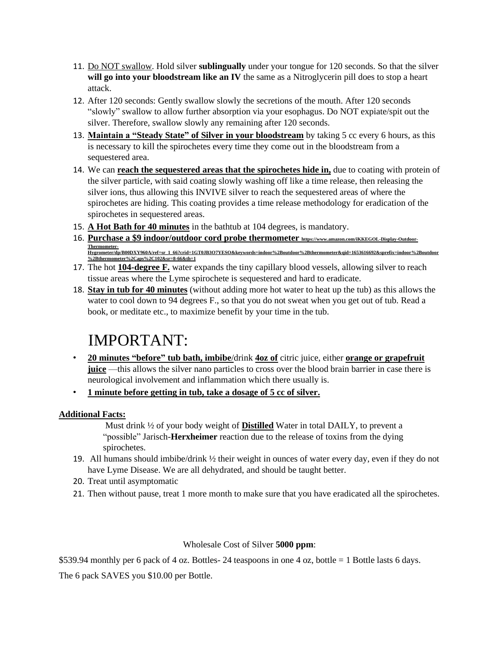- 11. Do NOT swallow. Hold silver **sublingually** under your tongue for 120 seconds. So that the silver **will go into your bloodstream like an IV** the same as a Nitroglycerin pill does to stop a heart attack.
- 12. After 120 seconds: Gently swallow slowly the secretions of the mouth. After 120 seconds "slowly" swallow to allow further absorption via your esophagus. Do NOT expiate/spit out the silver. Therefore, swallow slowly any remaining after 120 seconds.
- 13. **Maintain a "Steady State" of Silver in your bloodstream** by taking 5 cc every 6 hours, as this is necessary to kill the spirochetes every time they come out in the bloodstream from a sequestered area.
- 14. We can **reach the sequestered areas that the spirochetes hide in,** due to coating with protein of the silver particle, with said coating slowly washing off like a time release, then releasing the silver ions, thus allowing this INVIVE silver to reach the sequestered areas of where the spirochetes are hiding. This coating provides a time release methodology for eradication of the spirochetes in sequestered areas.
- 15. **A Hot Bath for 40 minutes** in the bathtub at 104 degrees, is mandatory.
- 16. **Purchase a \$9 indoor/outdoor cord probe thermometer https://www.amazon.com/iKKEGOL-Display-Outdoor-**Thermometer-<br>Hygrometer/dp/B00DXY960A/ref=sr\_1\_66?crid=1GT0JB3O7YESO&keywords=indoor%2Boutdoor%2Bthermometer&qid=1653616692&sprefix=indoor%2Boutdoor **%2Bthermometer%2Caps%2C102&sr=8-66&th=1**
- 17. The hot **104-degree F.** water expands the tiny capillary blood vessels, allowing silver to reach tissue areas where the Lyme spirochete is sequestered and hard to eradicate.
- 18. **Stay in tub for 40 minutes** (without adding more hot water to heat up the tub) as this allows the water to cool down to 94 degrees F., so that you do not sweat when you get out of tub. Read a book, or meditate etc., to maximize benefit by your time in the tub.

# IMPORTANT:

- **20 minutes "before" tub bath, imbibe**/drink **4oz of** citric juice, either **orange or grapefruit juice** —this allows the silver nano particles to cross over the blood brain barrier in case there is neurological involvement and inflammation which there usually is.
- **1 minute before getting in tub, take a dosage of 5 cc of silver.**

#### **Additional Facts:**

Must drink ½ of your body weight of **Distilled** Water in total DAILY, to prevent a "possible" Jarisch-**Herxheimer** reaction due to the release of toxins from the dying spirochetes.

- 19. All humans should imbibe/drink ½ their weight in ounces of water every day, even if they do not have Lyme Disease. We are all dehydrated, and should be taught better.
- 20. Treat until asymptomatic
- 21. Then without pause, treat 1 more month to make sure that you have eradicated all the spirochetes.

#### Wholesale Cost of Silver **5000 ppm**:

\$539.94 monthly per 6 pack of 4 oz. Bottles- 24 teaspoons in one 4 oz, bottle = 1 Bottle lasts 6 days.

The 6 pack SAVES you \$10.00 per Bottle.